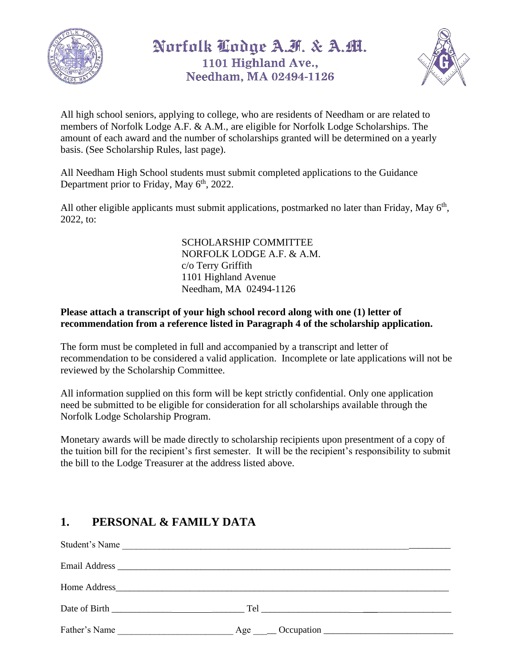

## Norfolk Lodge A.H. & A.M. 1101 Highland Ave., Needham, MA 02494-1126



All high school seniors, applying to college, who are residents of Needham or are related to members of Norfolk Lodge A.F. & A.M., are eligible for Norfolk Lodge Scholarships. The amount of each award and the number of scholarships granted will be determined on a yearly basis. (See Scholarship Rules, last page).

All Needham High School students must submit completed applications to the Guidance Department prior to Friday, May 6<sup>th</sup>, 2022.

All other eligible applicants must submit applications, postmarked no later than Friday, May  $6<sup>th</sup>$ , 2022, to:

> SCHOLARSHIP COMMITTEE NORFOLK LODGE A.F. & A.M. c/o Terry Griffith 1101 Highland Avenue Needham, MA 02494-1126

#### **Please attach a transcript of your high school record along with one (1) letter of recommendation from a reference listed in Paragraph 4 of the scholarship application.**

The form must be completed in full and accompanied by a transcript and letter of recommendation to be considered a valid application. Incomplete or late applications will not be reviewed by the Scholarship Committee.

All information supplied on this form will be kept strictly confidential. Only one application need be submitted to be eligible for consideration for all scholarships available through the Norfolk Lodge Scholarship Program.

Monetary awards will be made directly to scholarship recipients upon presentment of a copy of the tuition bill for the recipient's first semester. It will be the recipient's responsibility to submit the bill to the Lodge Treasurer at the address listed above.

### **1. PERSONAL & FAMILY DATA**

| Student's Name |  |
|----------------|--|
|                |  |
|                |  |
|                |  |
| Father's Name  |  |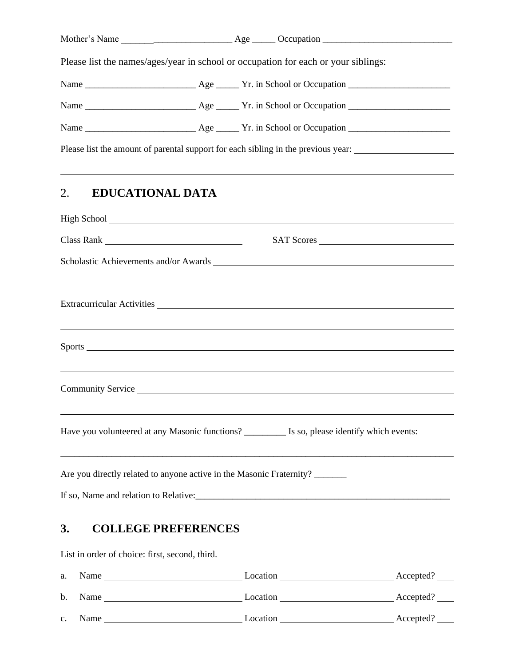|                                                                      |  | Please list the names/ages/year in school or occupation for each or your siblings:                                                                                                                                                                                                                                        |  |
|----------------------------------------------------------------------|--|---------------------------------------------------------------------------------------------------------------------------------------------------------------------------------------------------------------------------------------------------------------------------------------------------------------------------|--|
|                                                                      |  |                                                                                                                                                                                                                                                                                                                           |  |
|                                                                      |  |                                                                                                                                                                                                                                                                                                                           |  |
|                                                                      |  |                                                                                                                                                                                                                                                                                                                           |  |
|                                                                      |  | Please list the amount of parental support for each sibling in the previous year: __________________                                                                                                                                                                                                                      |  |
| <b>EDUCATIONAL DATA</b><br>2.                                        |  | ,我们也不能会有一个人的事情。""我们的人们是不是我们的人,我们也不能会有一个人的人,我们也不能会有一个人的人,我们也不能会有一个人的人,我们也不能会有一个人的人<br>High School <u>that the same of the same of the same of the same of the same of the same of the same of the same of the same of the same of the same of the same of the same of the same of the same of the same of the same of </u> |  |
|                                                                      |  | SAT Scores                                                                                                                                                                                                                                                                                                                |  |
|                                                                      |  |                                                                                                                                                                                                                                                                                                                           |  |
|                                                                      |  | ,我们也不会有什么。""我们的人,我们也不会有什么?""我们的人,我们也不会有什么?""我们的人,我们也不会有什么?""我们的人,我们也不会有什么?""我们的人                                                                                                                                                                                                                                          |  |
|                                                                      |  |                                                                                                                                                                                                                                                                                                                           |  |
|                                                                      |  | ,我们也不会有什么。""我们的人,我们也不会有什么?""我们的人,我们也不会有什么?""我们的人,我们也不会有什么?""我们的人,我们也不会有什么?""我们的人                                                                                                                                                                                                                                          |  |
|                                                                      |  | Have you volunteered at any Masonic functions? _________ Is so, please identify which events:                                                                                                                                                                                                                             |  |
| Are you directly related to anyone active in the Masonic Fraternity? |  |                                                                                                                                                                                                                                                                                                                           |  |
|                                                                      |  |                                                                                                                                                                                                                                                                                                                           |  |

## **3. COLLEGE PREFERENCES**

List in order of choice: first, second, third.

| a.             | Name | Location | Accepted? |
|----------------|------|----------|-----------|
| b.             | Name | Location | Accepted? |
| $\mathbf{C}$ . | Name | Location | Accepted? |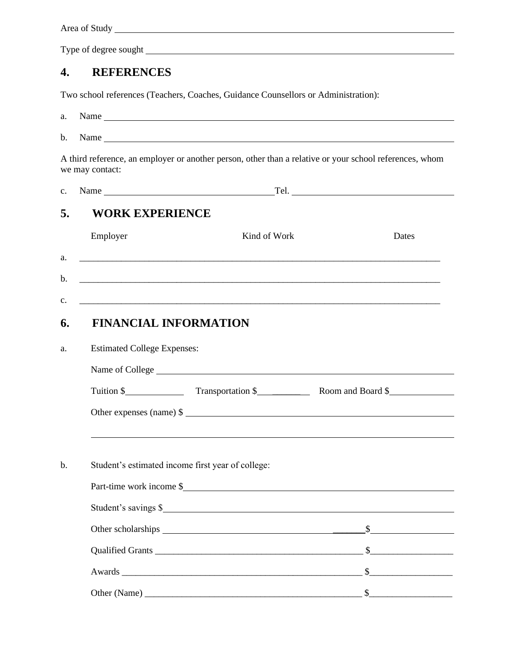Area of Study

Type of degree sought

#### **4. REFERENCES**

Two school references (Teachers, Coaches, Guidance Counsellors or Administration):

| a.             |                              | Name                                              |                                                                                                         |  |  |  |
|----------------|------------------------------|---------------------------------------------------|---------------------------------------------------------------------------------------------------------|--|--|--|
| $\mathbf{b}$ . |                              |                                                   |                                                                                                         |  |  |  |
|                | we may contact:              |                                                   | A third reference, an employer or another person, other than a relative or your school references, whom |  |  |  |
| $c_{\cdot}$    |                              |                                                   |                                                                                                         |  |  |  |
| 5.             | <b>WORK EXPERIENCE</b>       |                                                   |                                                                                                         |  |  |  |
|                | Employer                     | Kind of Work                                      | Dates                                                                                                   |  |  |  |
| a.             |                              |                                                   |                                                                                                         |  |  |  |
| $\mathbf{b}$ . |                              |                                                   |                                                                                                         |  |  |  |
| c.             |                              |                                                   |                                                                                                         |  |  |  |
| 6.             | <b>FINANCIAL INFORMATION</b> |                                                   |                                                                                                         |  |  |  |
| a.             |                              | <b>Estimated College Expenses:</b>                |                                                                                                         |  |  |  |
|                |                              |                                                   |                                                                                                         |  |  |  |
|                |                              |                                                   |                                                                                                         |  |  |  |
|                |                              |                                                   | Other expenses (name) $\frac{1}{2}$                                                                     |  |  |  |
|                |                              |                                                   |                                                                                                         |  |  |  |
| b.             |                              | Student's estimated income first year of college: |                                                                                                         |  |  |  |
|                | Part-time work income \$     |                                                   |                                                                                                         |  |  |  |
|                | Student's savings \$         |                                                   |                                                                                                         |  |  |  |
|                |                              |                                                   |                                                                                                         |  |  |  |
|                |                              |                                                   |                                                                                                         |  |  |  |
|                |                              |                                                   |                                                                                                         |  |  |  |
|                |                              |                                                   |                                                                                                         |  |  |  |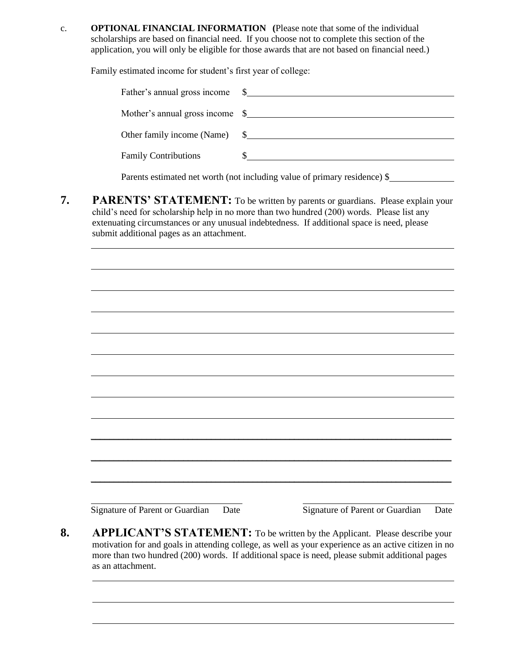c. **OPTIONAL FINANCIAL INFORMATION (**Please note that some of the individual scholarships are based on financial need. If you choose not to complete this section of the application, you will only be eligible for those awards that are not based on financial need.)

Family estimated income for student's first year of college:

| Father's annual gross income    |                                                     |
|---------------------------------|-----------------------------------------------------|
| Mother's annual gross income \$ |                                                     |
|                                 | Other family income (Name) $\quad \quad \text{\AA}$ |
| <b>Family Contributions</b>     |                                                     |
|                                 |                                                     |

Parents estimated net worth (not including value of primary residence) \$

**7. PARENTS' STATEMENT:** To be written by parents or guardians. Please explain your child's need for scholarship help in no more than two hundred (200) words. Please list any extenuating circumstances or any unusual indebtedness. If additional space is need, please submit additional pages as an attachment.

Signature of Parent or Guardian Date Signature of Parent or Guardian Date

**8. APPLICANT'S STATEMENT:** To be written by the Applicant. Please describe your motivation for and goals in attending college, as well as your experience as an active citizen in no more than two hundred (200) words. If additional space is need, please submit additional pages as an attachment.